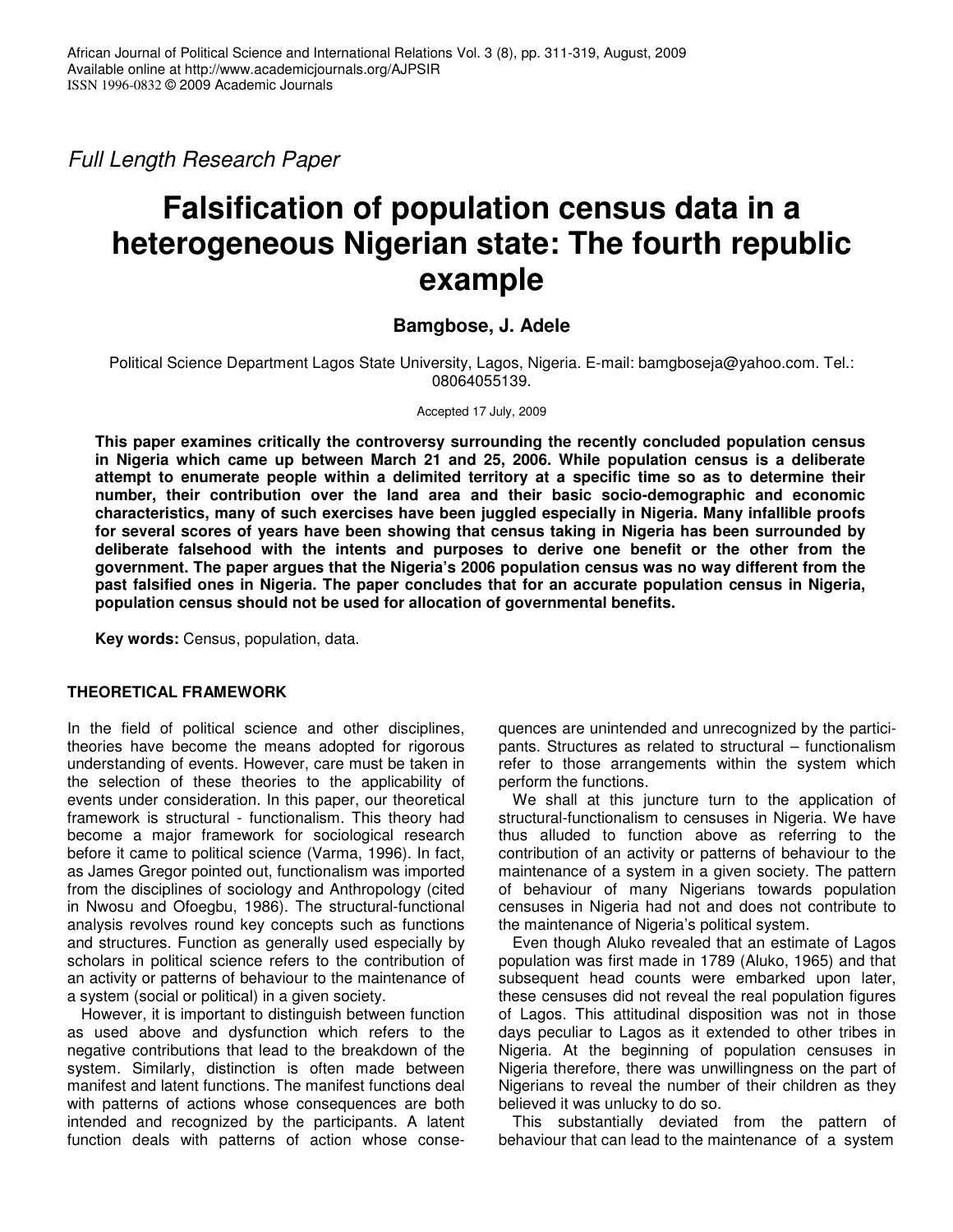*Full Length Research Paper*

# **Falsification of population census data in a heterogeneous Nigerian state: The fourth republic example**

# **Bamgbose, J. Adele**

Political Science Department Lagos State University, Lagos, Nigeria. E-mail: bamgboseja@yahoo.com. Tel.: 08064055139.

Accepted 17 July, 2009

**This paper examines critically the controversy surrounding the recently concluded population census in Nigeria which came up between March 21 and 25, 2006. While population census is a deliberate attempt to enumerate people within a delimited territory at a specific time so as to determine their number, their contribution over the land area and their basic socio-demographic and economic characteristics, many of such exercises have been juggled especially in Nigeria. Many infallible proofs for several scores of years have been showing that census taking in Nigeria has been surrounded by deliberate falsehood with the intents and purposes to derive one benefit or the other from the government. The paper argues that the Nigeria's 2006 population census was no way different from the past falsified ones in Nigeria. The paper concludes that for an accurate population census in Nigeria, population census should not be used for allocation of governmental benefits.**

**Key words:** Census, population, data.

## **THEORETICAL FRAMEWORK**

In the field of political science and other disciplines, theories have become the means adopted for rigorous understanding of events. However, care must be taken in the selection of these theories to the applicability of events under consideration. In this paper, our theoretical framework is structural - functionalism. This theory had become a major framework for sociological research before it came to political science (Varma, 1996). In fact, as James Gregor pointed out, functionalism was imported from the disciplines of sociology and Anthropology (cited in Nwosu and Ofoegbu, 1986). The structural-functional analysis revolves round key concepts such as functions and structures. Function as generally used especially by scholars in political science refers to the contribution of an activity or patterns of behaviour to the maintenance of a system (social or political) in a given society.

However, it is important to distinguish between function as used above and dysfunction which refers to the negative contributions that lead to the breakdown of the system. Similarly, distinction is often made between manifest and latent functions. The manifest functions deal with patterns of actions whose consequences are both intended and recognized by the participants. A latent function deals with patterns of action whose conse-

quences are unintended and unrecognized by the participants. Structures as related to structural – functionalism refer to those arrangements within the system which perform the functions.

We shall at this juncture turn to the application of structural-functionalism to censuses in Nigeria. We have thus alluded to function above as referring to the contribution of an activity or patterns of behaviour to the maintenance of a system in a given society. The pattern of behaviour of many Nigerians towards population censuses in Nigeria had not and does not contribute to the maintenance of Nigeria's political system.

Even though Aluko revealed that an estimate of Lagos population was first made in 1789 (Aluko, 1965) and that subsequent head counts were embarked upon later, these censuses did not reveal the real population figures of Lagos. This attitudinal disposition was not in those days peculiar to Lagos as it extended to other tribes in Nigeria. At the beginning of population censuses in Nigeria therefore, there was unwillingness on the part of Nigerians to reveal the number of their children as they believed it was unlucky to do so.

This substantially deviated from the pattern of behaviour that can lead to the maintenance of a system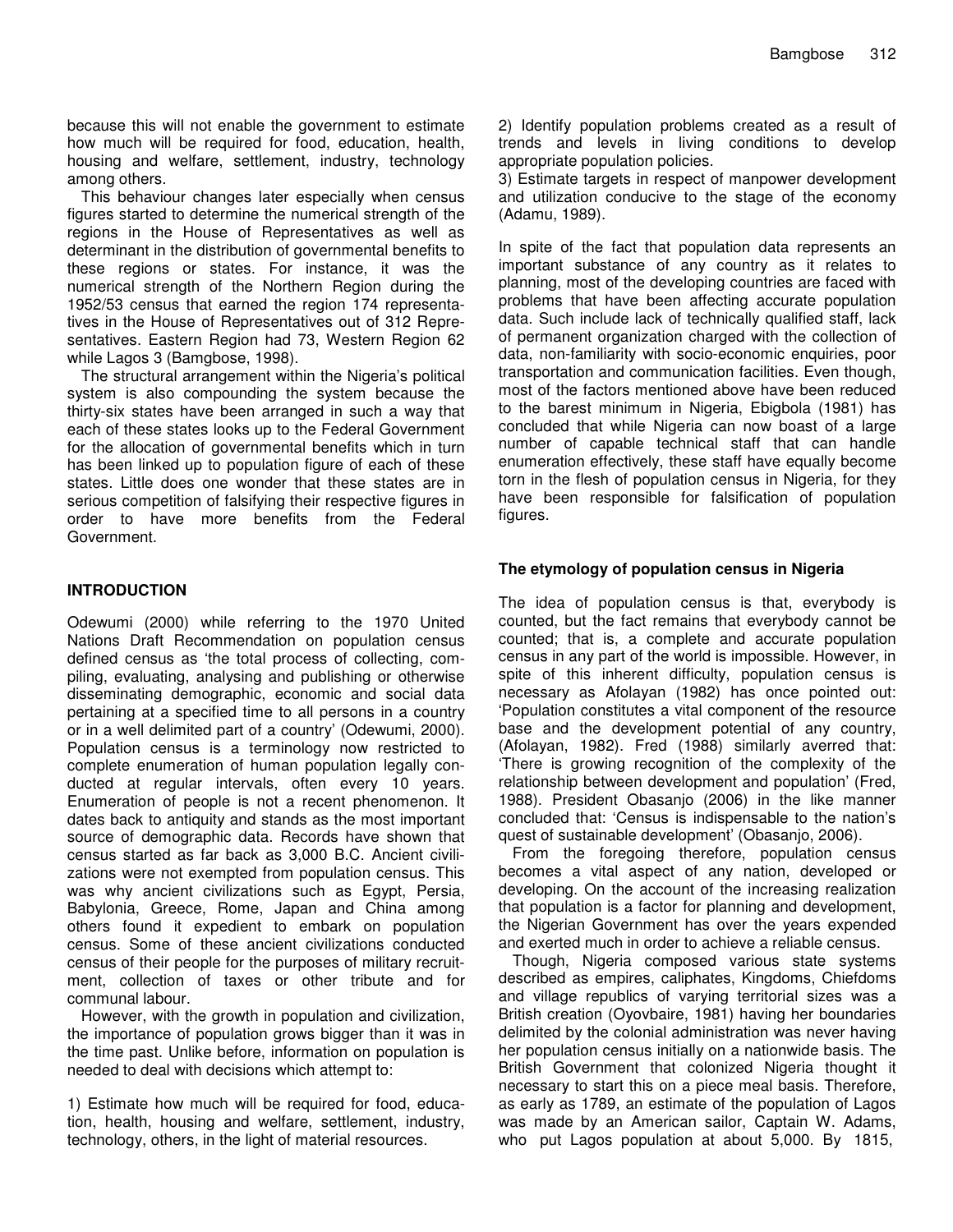because this will not enable the government to estimate how much will be required for food, education, health, housing and welfare, settlement, industry, technology among others.

This behaviour changes later especially when census figures started to determine the numerical strength of the regions in the House of Representatives as well as determinant in the distribution of governmental benefits to these regions or states. For instance, it was the numerical strength of the Northern Region during the 1952/53 census that earned the region 174 representatives in the House of Representatives out of 312 Representatives. Eastern Region had 73, Western Region 62 while Lagos 3 (Bamgbose, 1998).

The structural arrangement within the Nigeria's political system is also compounding the system because the thirty-six states have been arranged in such a way that each of these states looks up to the Federal Government for the allocation of governmental benefits which in turn has been linked up to population figure of each of these states. Little does one wonder that these states are in serious competition of falsifying their respective figures in order to have more benefits from the Federal Government.

#### **INTRODUCTION**

Odewumi (2000) while referring to the 1970 United Nations Draft Recommendation on population census defined census as 'the total process of collecting, compiling, evaluating, analysing and publishing or otherwise disseminating demographic, economic and social data pertaining at a specified time to all persons in a country or in a well delimited part of a country' (Odewumi, 2000). Population census is a terminology now restricted to complete enumeration of human population legally conducted at regular intervals, often every 10 years. Enumeration of people is not a recent phenomenon. It dates back to antiquity and stands as the most important source of demographic data. Records have shown that census started as far back as 3,000 B.C. Ancient civilizations were not exempted from population census. This was why ancient civilizations such as Egypt, Persia, Babylonia, Greece, Rome, Japan and China among others found it expedient to embark on population census. Some of these ancient civilizations conducted census of their people for the purposes of military recruitment, collection of taxes or other tribute and for communal labour.

However, with the growth in population and civilization, the importance of population grows bigger than it was in the time past. Unlike before, information on population is needed to deal with decisions which attempt to:

1) Estimate how much will be required for food, education, health, housing and welfare, settlement, industry, technology, others, in the light of material resources.

2) Identify population problems created as a result of trends and levels in living conditions to develop appropriate population policies.

3) Estimate targets in respect of manpower development and utilization conducive to the stage of the economy (Adamu, 1989).

In spite of the fact that population data represents an important substance of any country as it relates to planning, most of the developing countries are faced with problems that have been affecting accurate population data. Such include lack of technically qualified staff, lack of permanent organization charged with the collection of data, non-familiarity with socio-economic enquiries, poor transportation and communication facilities. Even though, most of the factors mentioned above have been reduced to the barest minimum in Nigeria, Ebigbola (1981) has concluded that while Nigeria can now boast of a large number of capable technical staff that can handle enumeration effectively, these staff have equally become torn in the flesh of population census in Nigeria, for they have been responsible for falsification of population figures.

### **The etymology of population census in Nigeria**

The idea of population census is that, everybody is counted, but the fact remains that everybody cannot be counted; that is, a complete and accurate population census in any part of the world is impossible. However, in spite of this inherent difficulty, population census is necessary as Afolayan (1982) has once pointed out: 'Population constitutes a vital component of the resource base and the development potential of any country, (Afolayan, 1982). Fred (1988) similarly averred that: 'There is growing recognition of the complexity of the relationship between development and population' (Fred, 1988). President Obasanjo (2006) in the like manner concluded that: 'Census is indispensable to the nation's quest of sustainable development' (Obasanjo, 2006).

From the foregoing therefore, population census becomes a vital aspect of any nation, developed or developing. On the account of the increasing realization that population is a factor for planning and development, the Nigerian Government has over the years expended and exerted much in order to achieve a reliable census.

Though, Nigeria composed various state systems described as empires, caliphates, Kingdoms, Chiefdoms and village republics of varying territorial sizes was a British creation (Oyovbaire, 1981) having her boundaries delimited by the colonial administration was never having her population census initially on a nationwide basis. The British Government that colonized Nigeria thought it necessary to start this on a piece meal basis. Therefore, as early as 1789, an estimate of the population of Lagos was made by an American sailor, Captain W. Adams, who put Lagos population at about 5,000. By 1815,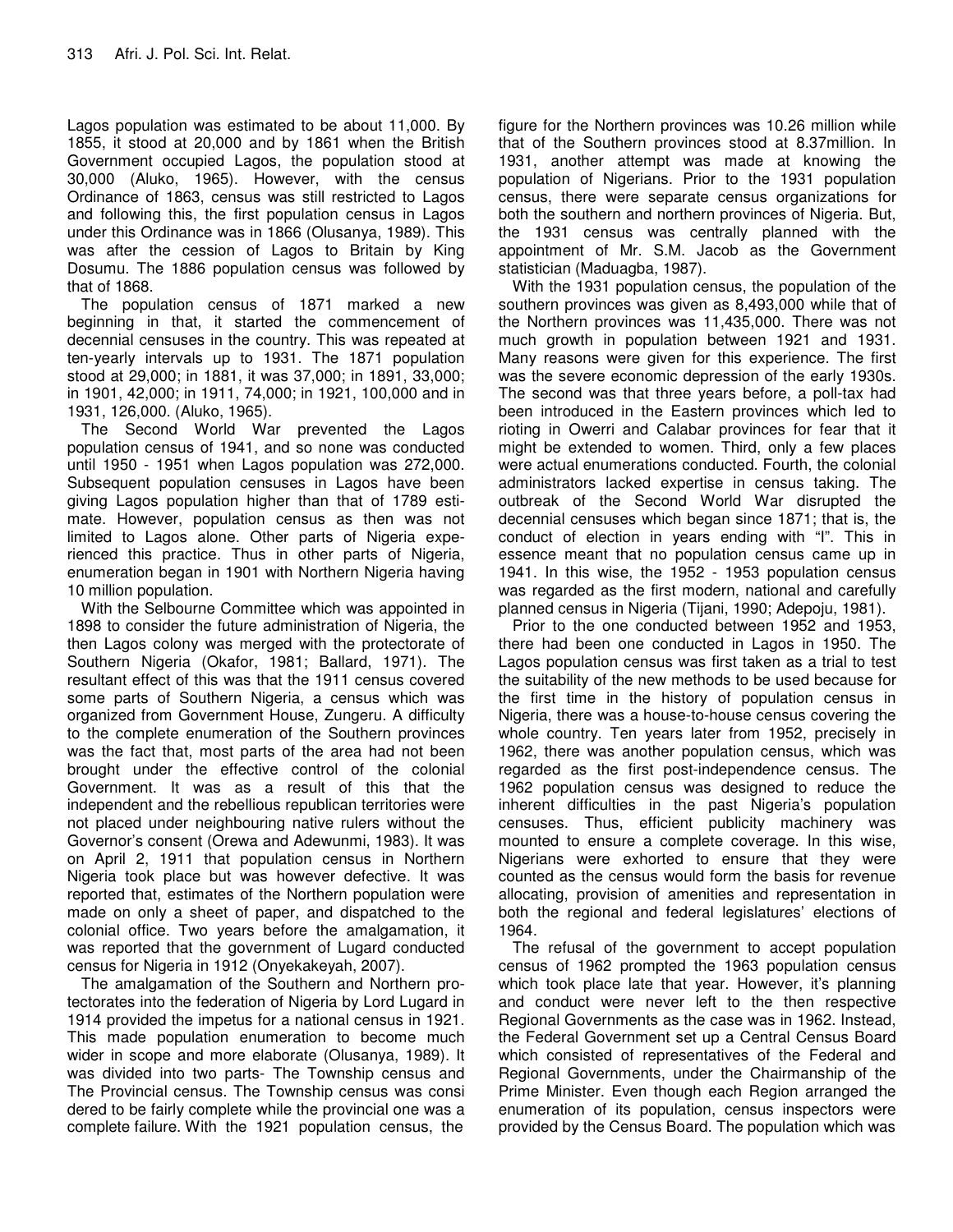Lagos population was estimated to be about 11,000. By 1855, it stood at 20,000 and by 1861 when the British Government occupied Lagos, the population stood at 30,000 (Aluko, 1965). However, with the census Ordinance of 1863, census was still restricted to Lagos and following this, the first population census in Lagos under this Ordinance was in 1866 (Olusanya, 1989). This was after the cession of Lagos to Britain by King Dosumu. The 1886 population census was followed by that of 1868.

The population census of 1871 marked a new beginning in that, it started the commencement of decennial censuses in the country. This was repeated at ten-yearly intervals up to 1931. The 1871 population stood at 29,000; in 1881, it was 37,000; in 1891, 33,000; in 1901, 42,000; in 1911, 74,000; in 1921, 100,000 and in 1931, 126,000. (Aluko, 1965).

The Second World War prevented the Lagos population census of 1941, and so none was conducted until 1950 - 1951 when Lagos population was 272,000. Subsequent population censuses in Lagos have been giving Lagos population higher than that of 1789 estimate. However, population census as then was not limited to Lagos alone. Other parts of Nigeria experienced this practice. Thus in other parts of Nigeria, enumeration began in 1901 with Northern Nigeria having 10 million population.

With the Selbourne Committee which was appointed in 1898 to consider the future administration of Nigeria, the then Lagos colony was merged with the protectorate of Southern Nigeria (Okafor, 1981; Ballard, 1971). The resultant effect of this was that the 1911 census covered some parts of Southern Nigeria, a census which was organized from Government House, Zungeru. A difficulty to the complete enumeration of the Southern provinces was the fact that, most parts of the area had not been brought under the effective control of the colonial Government. It was as a result of this that the independent and the rebellious republican territories were not placed under neighbouring native rulers without the Governor's consent (Orewa and Adewunmi, 1983). It was on April 2, 1911 that population census in Northern Nigeria took place but was however defective. It was reported that, estimates of the Northern population were made on only a sheet of paper, and dispatched to the colonial office. Two years before the amalgamation, it was reported that the government of Lugard conducted census for Nigeria in 1912 (Onyekakeyah, 2007).

The amalgamation of the Southern and Northern protectorates into the federation of Nigeria by Lord Lugard in 1914 provided the impetus for a national census in 1921. This made population enumeration to become much wider in scope and more elaborate (Olusanya, 1989). It was divided into two parts- The Township census and The Provincial census. The Township census was consi dered to be fairly complete while the provincial one was a complete failure. With the 1921 population census, the

figure for the Northern provinces was 10.26 million while that of the Southern provinces stood at 8.37million. In 1931, another attempt was made at knowing the population of Nigerians. Prior to the 1931 population census, there were separate census organizations for both the southern and northern provinces of Nigeria. But, the 1931 census was centrally planned with the appointment of Mr. S.M. Jacob as the Government statistician (Maduagba, 1987).

With the 1931 population census, the population of the southern provinces was given as 8,493,000 while that of the Northern provinces was 11,435,000. There was not much growth in population between 1921 and 1931. Many reasons were given for this experience. The first was the severe economic depression of the early 1930s. The second was that three years before, a poll-tax had been introduced in the Eastern provinces which led to rioting in Owerri and Calabar provinces for fear that it might be extended to women. Third, only a few places were actual enumerations conducted. Fourth, the colonial administrators lacked expertise in census taking. The outbreak of the Second World War disrupted the decennial censuses which began since 1871; that is, the conduct of election in years ending with "I". This in essence meant that no population census came up in 1941. In this wise, the 1952 - 1953 population census was regarded as the first modern, national and carefully planned census in Nigeria (Tijani, 1990; Adepoju, 1981).

Prior to the one conducted between 1952 and 1953, there had been one conducted in Lagos in 1950. The Lagos population census was first taken as a trial to test the suitability of the new methods to be used because for the first time in the history of population census in Nigeria, there was a house-to-house census covering the whole country. Ten years later from 1952, precisely in 1962, there was another population census, which was regarded as the first post-independence census. The 1962 population census was designed to reduce the inherent difficulties in the past Nigeria's population censuses. Thus, efficient publicity machinery was mounted to ensure a complete coverage. In this wise, Nigerians were exhorted to ensure that they were counted as the census would form the basis for revenue allocating, provision of amenities and representation in both the regional and federal legislatures' elections of 1964.

The refusal of the government to accept population census of 1962 prompted the 1963 population census which took place late that year. However, it's planning and conduct were never left to the then respective Regional Governments as the case was in 1962. Instead, the Federal Government set up a Central Census Board which consisted of representatives of the Federal and Regional Governments, under the Chairmanship of the Prime Minister. Even though each Region arranged the enumeration of its population, census inspectors were provided by the Census Board. The population which was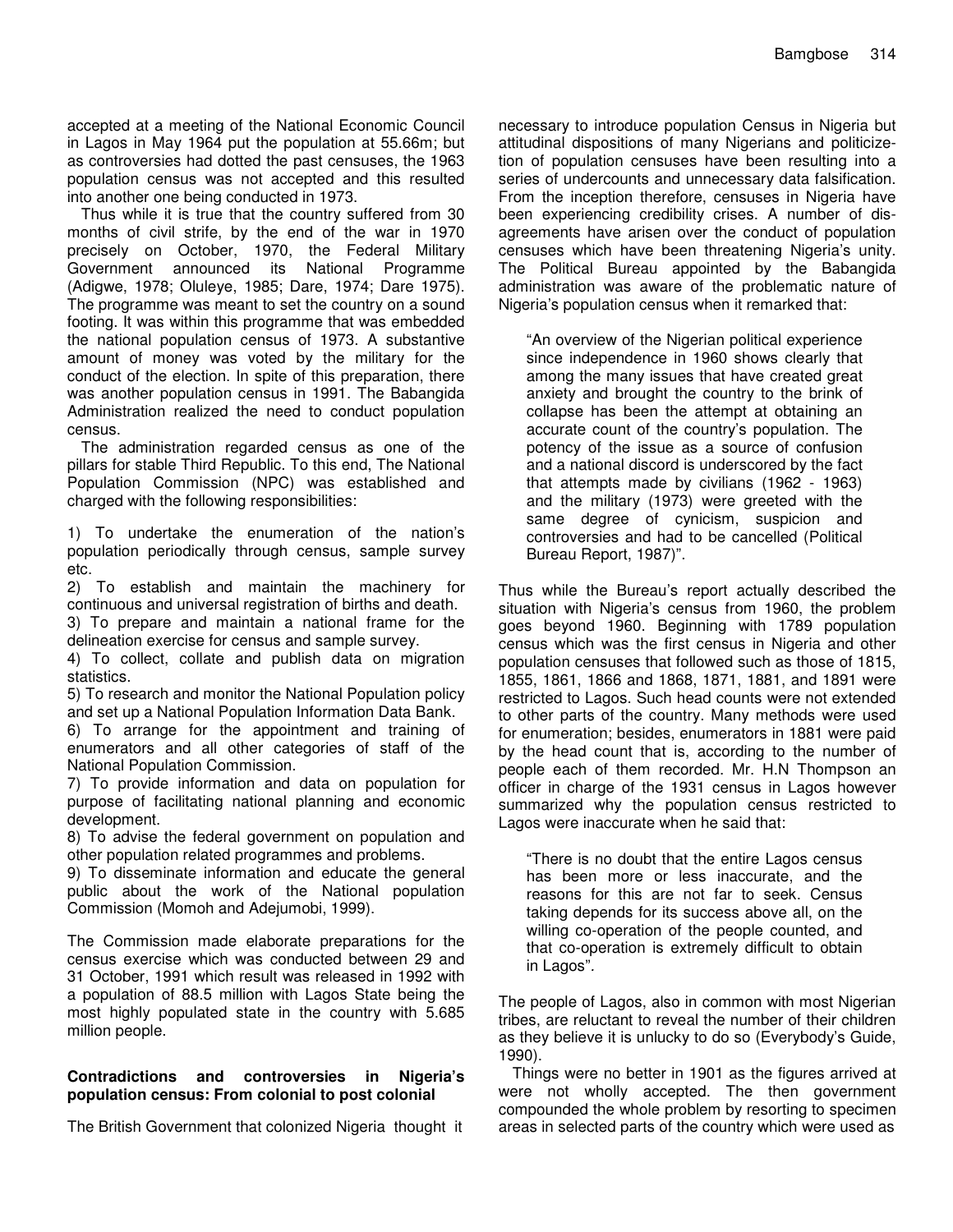accepted at a meeting of the National Economic Council in Lagos in May 1964 put the population at 55.66m; but as controversies had dotted the past censuses, the 1963 population census was not accepted and this resulted into another one being conducted in 1973.

Thus while it is true that the country suffered from 30 months of civil strife, by the end of the war in 1970 precisely on October, 1970, the Federal Military Government announced its National Programme (Adigwe, 1978; Oluleye, 1985; Dare, 1974; Dare 1975). The programme was meant to set the country on a sound footing. It was within this programme that was embedded the national population census of 1973. A substantive amount of money was voted by the military for the conduct of the election. In spite of this preparation, there was another population census in 1991. The Babangida Administration realized the need to conduct population census.

The administration regarded census as one of the pillars for stable Third Republic. To this end, The National Population Commission (NPC) was established and charged with the following responsibilities:

1) To undertake the enumeration of the nation's population periodically through census, sample survey etc.

2) To establish and maintain the machinery for continuous and universal registration of births and death.

3) To prepare and maintain a national frame for the delineation exercise for census and sample survey.

4) To collect, collate and publish data on migration statistics.

5) To research and monitor the National Population policy and set up a National Population Information Data Bank.

6) To arrange for the appointment and training of enumerators and all other categories of staff of the National Population Commission.

7) To provide information and data on population for purpose of facilitating national planning and economic development.

8) To advise the federal government on population and other population related programmes and problems.

9) To disseminate information and educate the general public about the work of the National population Commission (Momoh and Adejumobi, 1999).

The Commission made elaborate preparations for the census exercise which was conducted between 29 and 31 October, 1991 which result was released in 1992 with a population of 88.5 million with Lagos State being the most highly populated state in the country with 5.685 million people.

#### **Contradictions and controversies in Nigeria's population census: From colonial to post colonial**

The British Government that colonized Nigeria thought it

necessary to introduce population Census in Nigeria but attitudinal dispositions of many Nigerians and politicizetion of population censuses have been resulting into a series of undercounts and unnecessary data falsification. From the inception therefore, censuses in Nigeria have been experiencing credibility crises. A number of disagreements have arisen over the conduct of population censuses which have been threatening Nigeria's unity. The Political Bureau appointed by the Babangida administration was aware of the problematic nature of Nigeria's population census when it remarked that:

"An overview of the Nigerian political experience since independence in 1960 shows clearly that among the many issues that have created great anxiety and brought the country to the brink of collapse has been the attempt at obtaining an accurate count of the country's population. The potency of the issue as a source of confusion and a national discord is underscored by the fact that attempts made by civilians (1962 - 1963) and the military (1973) were greeted with the same degree of cynicism, suspicion and controversies and had to be cancelled (Political Bureau Report, 1987)".

Thus while the Bureau's report actually described the situation with Nigeria's census from 1960, the problem goes beyond 1960. Beginning with 1789 population census which was the first census in Nigeria and other population censuses that followed such as those of 1815, 1855, 1861, 1866 and 1868, 1871, 1881, and 1891 were restricted to Lagos. Such head counts were not extended to other parts of the country. Many methods were used for enumeration; besides, enumerators in 1881 were paid by the head count that is, according to the number of people each of them recorded. Mr. H.N Thompson an officer in charge of the 1931 census in Lagos however summarized why the population census restricted to Lagos were inaccurate when he said that:

"There is no doubt that the entire Lagos census has been more or less inaccurate, and the reasons for this are not far to seek. Census taking depends for its success above all, on the willing co-operation of the people counted, and that co-operation is extremely difficult to obtain in Lagos"*.*

The people of Lagos, also in common with most Nigerian tribes, are reluctant to reveal the number of their children as they believe it is unlucky to do so (Everybody's Guide, 1990).

Things were no better in 1901 as the figures arrived at were not wholly accepted. The then government compounded the whole problem by resorting to specimen areas in selected parts of the country which were used as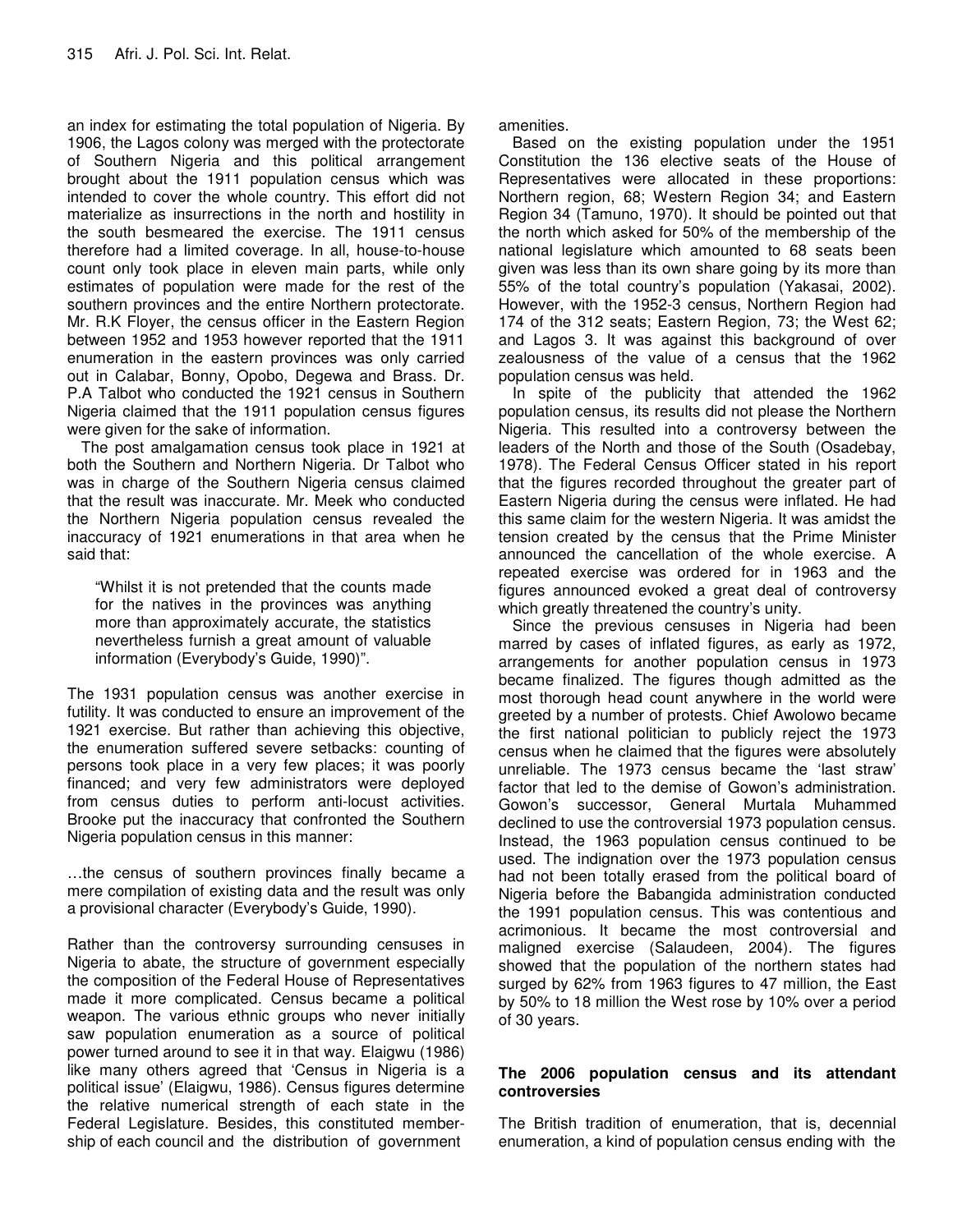an index for estimating the total population of Nigeria. By 1906, the Lagos colony was merged with the protectorate of Southern Nigeria and this political arrangement brought about the 1911 population census which was intended to cover the whole country. This effort did not materialize as insurrections in the north and hostility in the south besmeared the exercise. The 1911 census therefore had a limited coverage. In all, house-to-house count only took place in eleven main parts, while only estimates of population were made for the rest of the southern provinces and the entire Northern protectorate. Mr. R.K Floyer, the census officer in the Eastern Region between 1952 and 1953 however reported that the 1911 enumeration in the eastern provinces was only carried out in Calabar, Bonny, Opobo, Degewa and Brass. Dr. P.A Talbot who conducted the 1921 census in Southern Nigeria claimed that the 1911 population census figures were given for the sake of information.

The post amalgamation census took place in 1921 at both the Southern and Northern Nigeria. Dr Talbot who was in charge of the Southern Nigeria census claimed that the result was inaccurate. Mr. Meek who conducted the Northern Nigeria population census revealed the inaccuracy of 1921 enumerations in that area when he said that:

"Whilst it is not pretended that the counts made for the natives in the provinces was anything more than approximately accurate, the statistics nevertheless furnish a great amount of valuable information (Everybody's Guide, 1990)".

The 1931 population census was another exercise in futility. It was conducted to ensure an improvement of the 1921 exercise. But rather than achieving this objective, the enumeration suffered severe setbacks: counting of persons took place in a very few places; it was poorly financed; and very few administrators were deployed from census duties to perform anti-locust activities. Brooke put the inaccuracy that confronted the Southern Nigeria population census in this manner:

…the census of southern provinces finally became a mere compilation of existing data and the result was only a provisional character (Everybody's Guide, 1990).

Rather than the controversy surrounding censuses in Nigeria to abate, the structure of government especially the composition of the Federal House of Representatives made it more complicated. Census became a political weapon. The various ethnic groups who never initially saw population enumeration as a source of political power turned around to see it in that way. Elaigwu (1986) like many others agreed that 'Census in Nigeria is a political issue' (Elaigwu, 1986). Census figures determine the relative numerical strength of each state in the Federal Legislature. Besides, this constituted membership of each council and the distribution of government

amenities.

Based on the existing population under the 1951 Constitution the 136 elective seats of the House of Representatives were allocated in these proportions: Northern region, 68; Western Region 34; and Eastern Region 34 (Tamuno, 1970). It should be pointed out that the north which asked for 50% of the membership of the national legislature which amounted to 68 seats been given was less than its own share going by its more than 55% of the total country's population (Yakasai, 2002). However, with the 1952-3 census, Northern Region had 174 of the 312 seats; Eastern Region, 73; the West 62; and Lagos 3. It was against this background of over zealousness of the value of a census that the 1962 population census was held.

In spite of the publicity that attended the 1962 population census, its results did not please the Northern Nigeria. This resulted into a controversy between the leaders of the North and those of the South (Osadebay, 1978). The Federal Census Officer stated in his report that the figures recorded throughout the greater part of Eastern Nigeria during the census were inflated. He had this same claim for the western Nigeria. It was amidst the tension created by the census that the Prime Minister announced the cancellation of the whole exercise. A repeated exercise was ordered for in 1963 and the figures announced evoked a great deal of controversy which greatly threatened the country's unity.

Since the previous censuses in Nigeria had been marred by cases of inflated figures, as early as 1972, arrangements for another population census in 1973 became finalized. The figures though admitted as the most thorough head count anywhere in the world were greeted by a number of protests. Chief Awolowo became the first national politician to publicly reject the 1973 census when he claimed that the figures were absolutely unreliable. The 1973 census became the 'last straw' factor that led to the demise of Gowon's administration. Gowon's successor, General Murtala Muhammed declined to use the controversial 1973 population census. Instead, the 1963 population census continued to be used. The indignation over the 1973 population census had not been totally erased from the political board of Nigeria before the Babangida administration conducted the 1991 population census. This was contentious and acrimonious. It became the most controversial and maligned exercise (Salaudeen, 2004). The figures showed that the population of the northern states had surged by 62% from 1963 figures to 47 million, the East by 50% to 18 million the West rose by 10% over a period of 30 years.

### **The 2006 population census and its attendant controversies**

The British tradition of enumeration, that is, decennial enumeration, a kind of population census ending with the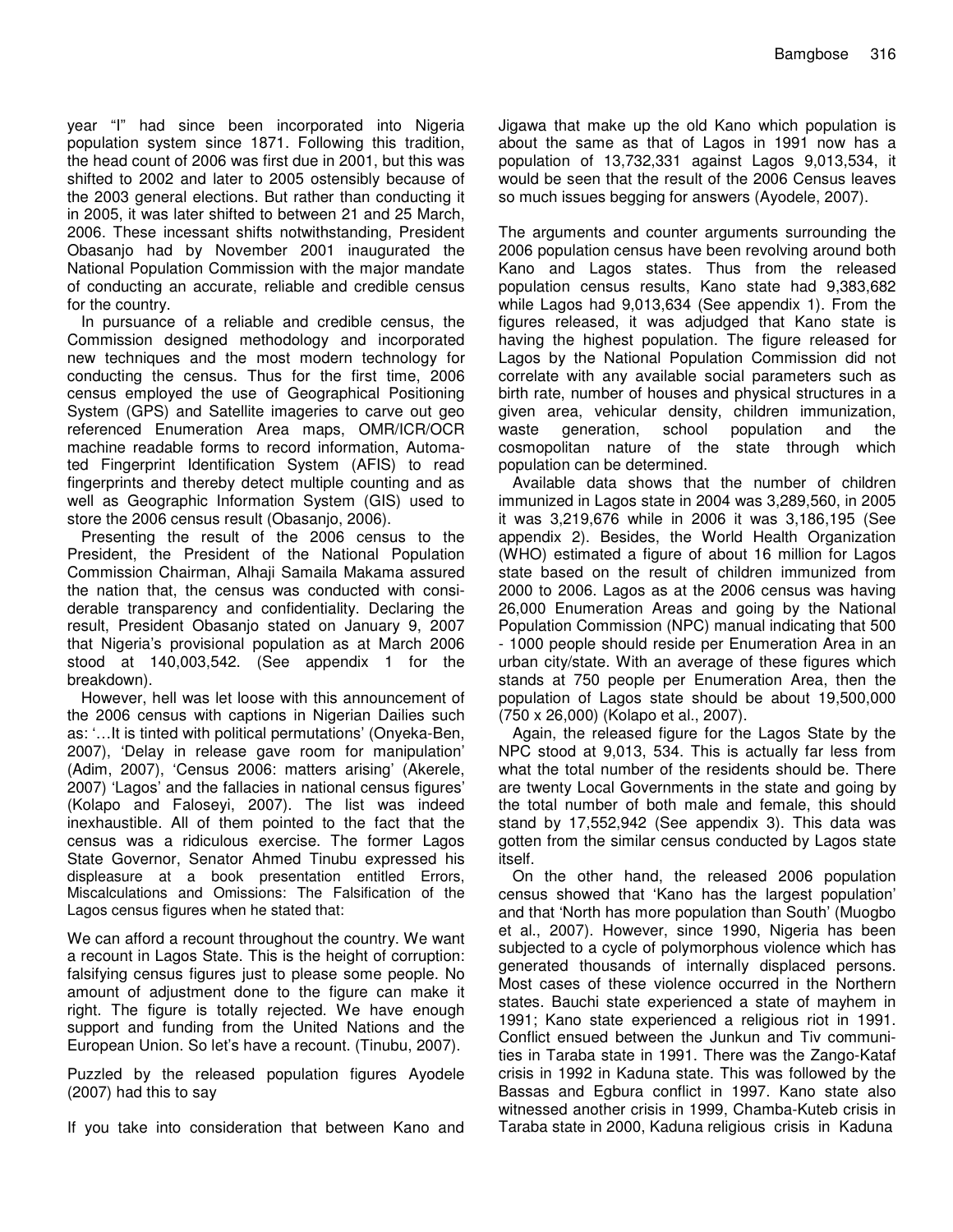year "I" had since been incorporated into Nigeria population system since 1871. Following this tradition, the head count of 2006 was first due in 2001, but this was shifted to 2002 and later to 2005 ostensibly because of the 2003 general elections. But rather than conducting it in 2005, it was later shifted to between 21 and 25 March, 2006. These incessant shifts notwithstanding, President Obasanjo had by November 2001 inaugurated the National Population Commission with the major mandate of conducting an accurate, reliable and credible census for the country.

In pursuance of a reliable and credible census, the Commission designed methodology and incorporated new techniques and the most modern technology for conducting the census. Thus for the first time, 2006 census employed the use of Geographical Positioning System (GPS) and Satellite imageries to carve out geo referenced Enumeration Area maps, OMR/ICR/OCR machine readable forms to record information, Automated Fingerprint Identification System (AFIS) to read fingerprints and thereby detect multiple counting and as well as Geographic Information System (GIS) used to store the 2006 census result (Obasanjo, 2006).

Presenting the result of the 2006 census to the President, the President of the National Population Commission Chairman, Alhaji Samaila Makama assured the nation that, the census was conducted with considerable transparency and confidentiality. Declaring the result, President Obasanjo stated on January 9, 2007 that Nigeria's provisional population as at March 2006 stood at 140,003,542. (See appendix 1 for the breakdown).

However, hell was let loose with this announcement of the 2006 census with captions in Nigerian Dailies such as: '…It is tinted with political permutations' (Onyeka-Ben, 2007), 'Delay in release gave room for manipulation' (Adim, 2007), 'Census 2006: matters arising' (Akerele, 2007) 'Lagos' and the fallacies in national census figures' (Kolapo and Faloseyi, 2007). The list was indeed inexhaustible. All of them pointed to the fact that the census was a ridiculous exercise. The former Lagos State Governor, Senator Ahmed Tinubu expressed his displeasure at a book presentation entitled Errors, Miscalculations and Omissions: The Falsification of the Lagos census figures when he stated that:

We can afford a recount throughout the country. We want a recount in Lagos State. This is the height of corruption: falsifying census figures just to please some people. No amount of adjustment done to the figure can make it right. The figure is totally rejected. We have enough support and funding from the United Nations and the European Union. So let's have a recount. (Tinubu, 2007).

Puzzled by the released population figures Ayodele (2007) had this to say

If you take into consideration that between Kano and

Jigawa that make up the old Kano which population is about the same as that of Lagos in 1991 now has a population of 13,732,331 against Lagos 9,013,534, it would be seen that the result of the 2006 Census leaves so much issues begging for answers (Ayodele, 2007).

The arguments and counter arguments surrounding the 2006 population census have been revolving around both Kano and Lagos states. Thus from the released population census results, Kano state had 9,383,682 while Lagos had 9,013,634 (See appendix 1). From the figures released, it was adjudged that Kano state is having the highest population. The figure released for Lagos by the National Population Commission did not correlate with any available social parameters such as birth rate, number of houses and physical structures in a given area, vehicular density, children immunization, waste generation, school population and the cosmopolitan nature of the state through which population can be determined.

Available data shows that the number of children immunized in Lagos state in 2004 was 3,289,560, in 2005 it was 3,219,676 while in 2006 it was 3,186,195 (See appendix 2). Besides, the World Health Organization (WHO) estimated a figure of about 16 million for Lagos state based on the result of children immunized from 2000 to 2006. Lagos as at the 2006 census was having 26,000 Enumeration Areas and going by the National Population Commission (NPC) manual indicating that 500 - 1000 people should reside per Enumeration Area in an urban city/state. With an average of these figures which stands at 750 people per Enumeration Area, then the population of Lagos state should be about 19,500,000 (750 x 26,000) (Kolapo et al., 2007).

Again, the released figure for the Lagos State by the NPC stood at 9,013, 534. This is actually far less from what the total number of the residents should be. There are twenty Local Governments in the state and going by the total number of both male and female, this should stand by 17,552,942 (See appendix 3). This data was gotten from the similar census conducted by Lagos state itself.

On the other hand, the released 2006 population census showed that 'Kano has the largest population' and that 'North has more population than South' (Muogbo et al., 2007). However, since 1990, Nigeria has been subjected to a cycle of polymorphous violence which has generated thousands of internally displaced persons. Most cases of these violence occurred in the Northern states. Bauchi state experienced a state of mayhem in 1991; Kano state experienced a religious riot in 1991. Conflict ensued between the Junkun and Tiv communities in Taraba state in 1991. There was the Zango-Kataf crisis in 1992 in Kaduna state. This was followed by the Bassas and Egbura conflict in 1997. Kano state also witnessed another crisis in 1999, Chamba-Kuteb crisis in Taraba state in 2000, Kaduna religious crisis in Kaduna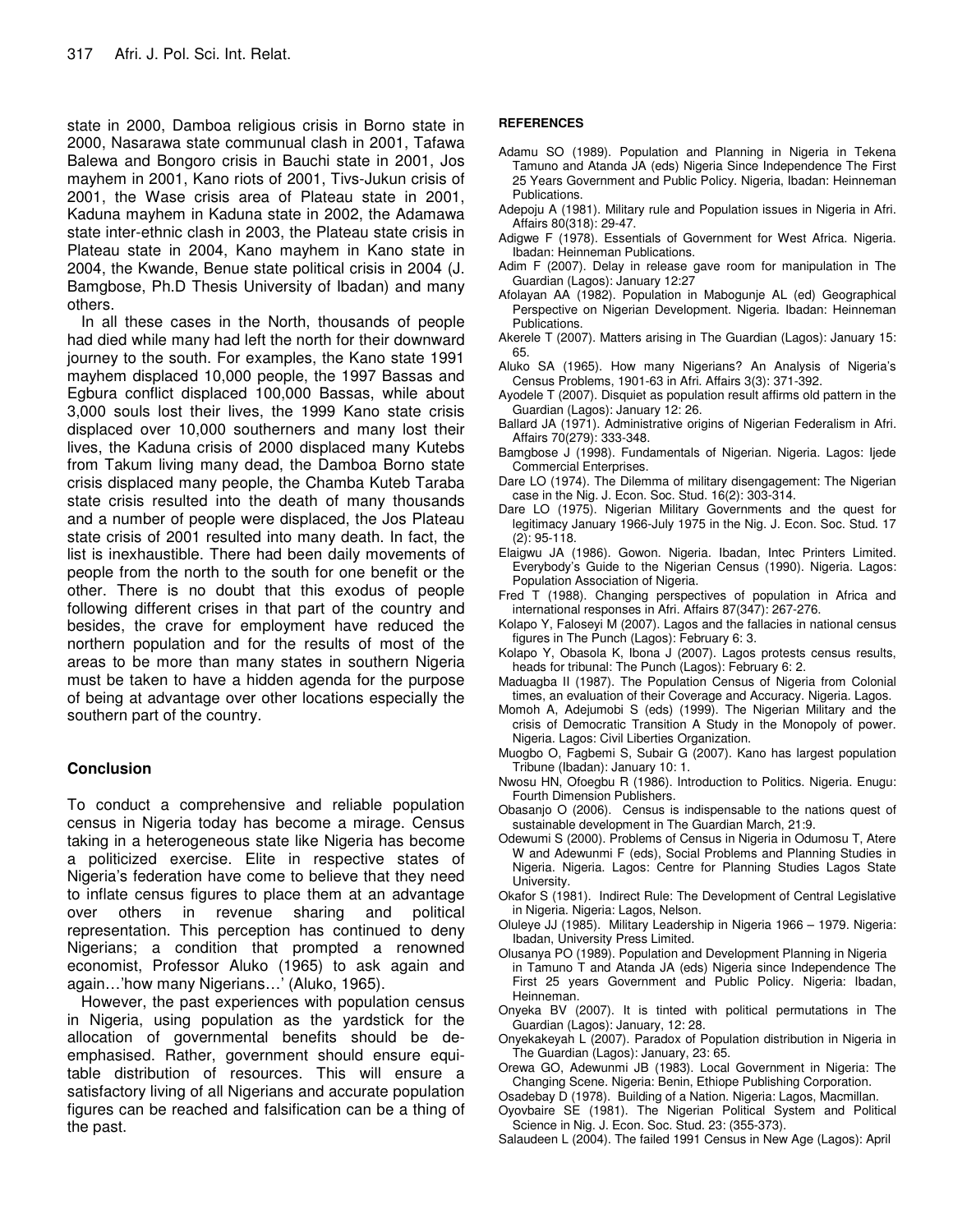state in 2000, Damboa religious crisis in Borno state in 2000, Nasarawa state communual clash in 2001, Tafawa Balewa and Bongoro crisis in Bauchi state in 2001, Jos mayhem in 2001, Kano riots of 2001, Tivs-Jukun crisis of 2001, the Wase crisis area of Plateau state in 2001, Kaduna mayhem in Kaduna state in 2002, the Adamawa state inter-ethnic clash in 2003, the Plateau state crisis in Plateau state in 2004, Kano mayhem in Kano state in 2004, the Kwande, Benue state political crisis in 2004 (J. Bamgbose, Ph.D Thesis University of Ibadan) and many others.

In all these cases in the North, thousands of people had died while many had left the north for their downward journey to the south. For examples, the Kano state 1991 mayhem displaced 10,000 people, the 1997 Bassas and Egbura conflict displaced 100,000 Bassas, while about 3,000 souls lost their lives, the 1999 Kano state crisis displaced over 10,000 southerners and many lost their lives, the Kaduna crisis of 2000 displaced many Kutebs from Takum living many dead, the Damboa Borno state crisis displaced many people, the Chamba Kuteb Taraba state crisis resulted into the death of many thousands and a number of people were displaced, the Jos Plateau state crisis of 2001 resulted into many death. In fact, the list is inexhaustible. There had been daily movements of people from the north to the south for one benefit or the other. There is no doubt that this exodus of people following different crises in that part of the country and besides, the crave for employment have reduced the northern population and for the results of most of the areas to be more than many states in southern Nigeria must be taken to have a hidden agenda for the purpose of being at advantage over other locations especially the southern part of the country.

#### **Conclusion**

To conduct a comprehensive and reliable population census in Nigeria today has become a mirage. Census taking in a heterogeneous state like Nigeria has become a politicized exercise. Elite in respective states of Nigeria's federation have come to believe that they need to inflate census figures to place them at an advantage over others in revenue sharing and political representation. This perception has continued to deny Nigerians; a condition that prompted a renowned economist, Professor Aluko (1965) to ask again and again…'how many Nigerians…' (Aluko, 1965).

However, the past experiences with population census in Nigeria, using population as the yardstick for the allocation of governmental benefits should be deemphasised. Rather, government should ensure equitable distribution of resources. This will ensure a satisfactory living of all Nigerians and accurate population figures can be reached and falsification can be a thing of the past.

#### **REFERENCES**

- Adamu SO (1989). Population and Planning in Nigeria in Tekena Tamuno and Atanda JA (eds) Nigeria Since Independence The First 25 Years Government and Public Policy. Nigeria, Ibadan: Heinneman Publications.
- Adepoju A (1981). Military rule and Population issues in Nigeria in Afri. Affairs 80(318): 29-47.
- Adigwe F (1978). Essentials of Government for West Africa. Nigeria. Ibadan: Heinneman Publications.
- Adim F (2007). Delay in release gave room for manipulation in The Guardian (Lagos): January 12:27
- Afolayan AA (1982). Population in Mabogunje AL (ed) Geographical Perspective on Nigerian Development. Nigeria. Ibadan: Heinneman Publications.
- Akerele T (2007). Matters arising in The Guardian (Lagos): January 15: 65.
- Aluko SA (1965). How many Nigerians? An Analysis of Nigeria's Census Problems, 1901-63 in Afri. Affairs 3(3): 371-392.
- Ayodele T (2007). Disquiet as population result affirms old pattern in the Guardian (Lagos): January 12: 26.
- Ballard JA (1971). Administrative origins of Nigerian Federalism in Afri. Affairs 70(279): 333-348.
- Bamgbose J (1998). Fundamentals of Nigerian. Nigeria. Lagos: Ijede Commercial Enterprises.
- Dare LO (1974). The Dilemma of military disengagement: The Nigerian case in the Nig. J. Econ. Soc. Stud. 16(2): 303-314.
- Dare LO (1975). Nigerian Military Governments and the quest for legitimacy January 1966-July 1975 in the Nig. J. Econ. Soc. Stud. 17 (2): 95-118.
- Elaigwu JA (1986). Gowon. Nigeria. Ibadan, Intec Printers Limited. Everybody's Guide to the Nigerian Census (1990). Nigeria. Lagos: Population Association of Nigeria.
- Fred T (1988). Changing perspectives of population in Africa and international responses in Afri. Affairs 87(347): 267-276.
- Kolapo Y, Faloseyi M (2007). Lagos and the fallacies in national census figures in The Punch (Lagos): February 6: 3.
- Kolapo Y, Obasola K, Ibona J (2007). Lagos protests census results, heads for tribunal: The Punch (Lagos): February 6: 2.
- Maduagba II (1987). The Population Census of Nigeria from Colonial times, an evaluation of their Coverage and Accuracy. Nigeria. Lagos.
- Momoh A, Adejumobi S (eds) (1999). The Nigerian Military and the crisis of Democratic Transition A Study in the Monopoly of power. Nigeria. Lagos: Civil Liberties Organization.
- Muogbo O, Fagbemi S, Subair G (2007). Kano has largest population Tribune (Ibadan): January 10: 1.
- Nwosu HN, Ofoegbu R (1986). Introduction to Politics. Nigeria. Enugu: Fourth Dimension Publishers.
- Obasanjo O (2006). Census is indispensable to the nations quest of sustainable development in The Guardian March, 21:9.
- Odewumi S (2000). Problems of Census in Nigeria in Odumosu T, Atere W and Adewunmi F (eds), Social Problems and Planning Studies in Nigeria. Nigeria. Lagos: Centre for Planning Studies Lagos State University.
- Okafor S (1981). Indirect Rule: The Development of Central Legislative in Nigeria. Nigeria: Lagos, Nelson.
- Oluleye JJ (1985). Military Leadership in Nigeria 1966 1979. Nigeria: Ibadan, University Press Limited.
- Olusanya PO (1989). Population and Development Planning in Nigeria in Tamuno T and Atanda JA (eds) Nigeria since Independence The First 25 years Government and Public Policy. Nigeria: Ibadan, Heinneman.
- Onyeka BV (2007). It is tinted with political permutations in The Guardian (Lagos): January, 12: 28.
- Onyekakeyah L (2007). Paradox of Population distribution in Nigeria in The Guardian (Lagos): January, 23: 65.
- Orewa GO, Adewunmi JB (1983). Local Government in Nigeria: The Changing Scene. Nigeria: Benin, Ethiope Publishing Corporation.
- Osadebay D (1978). Building of a Nation. Nigeria: Lagos, Macmillan.
- Oyovbaire SE (1981). The Nigerian Political System and Political Science in Nig. J. Econ. Soc. Stud. 23: (355-373).
- Salaudeen L (2004). The failed 1991 Census in New Age (Lagos): April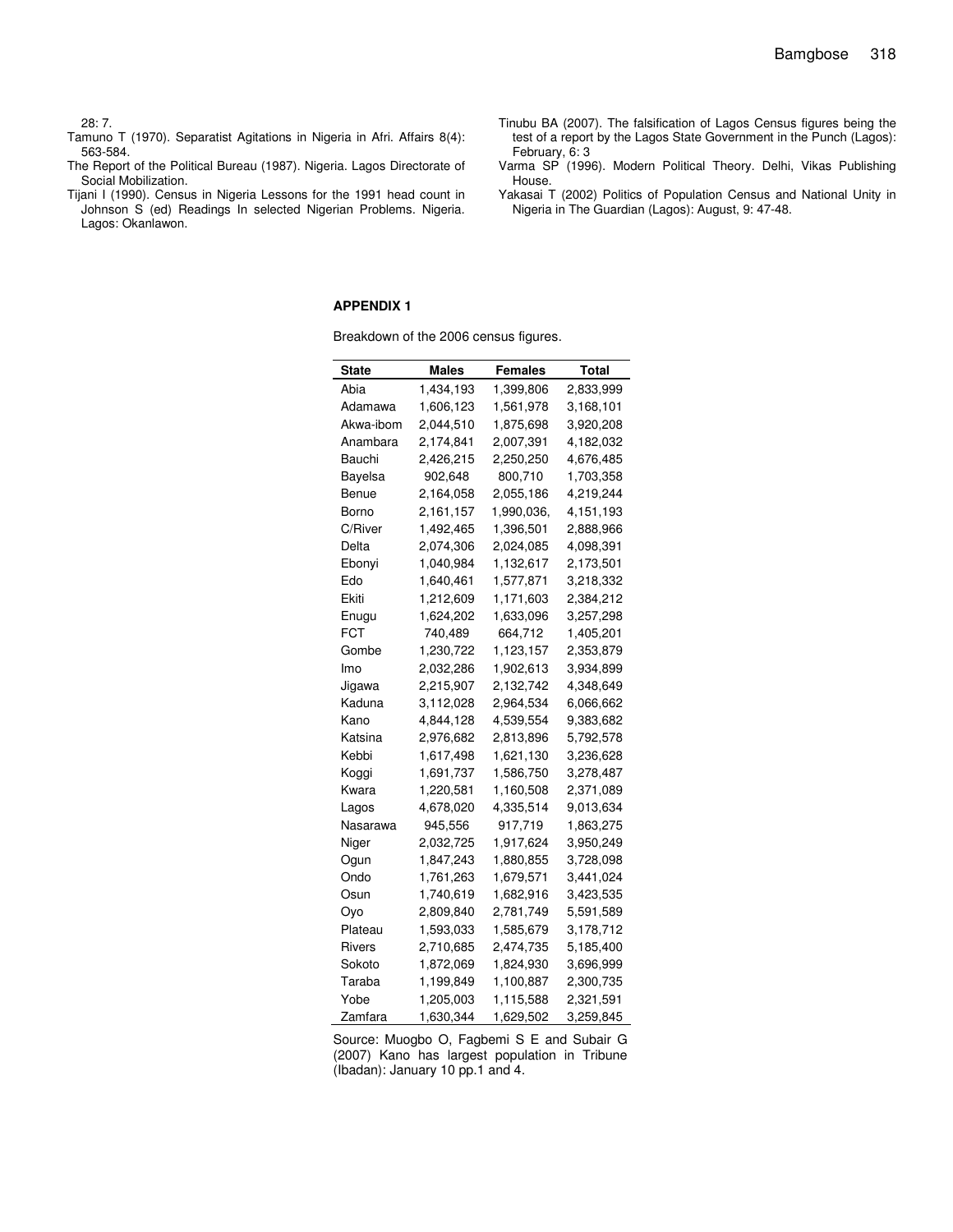#### 28: 7.

- Tamuno T (1970). Separatist Agitations in Nigeria in Afri. Affairs 8(4): 563-584.
- The Report of the Political Bureau (1987). Nigeria. Lagos Directorate of Social Mobilization.
- Tijani I (1990). Census in Nigeria Lessons for the 1991 head count in Johnson S (ed) Readings In selected Nigerian Problems. Nigeria. Lagos: Okanlawon.
- Tinubu BA (2007). The falsification of Lagos Census figures being the test of a report by the Lagos State Government in the Punch (Lagos): February, 6: 3
- Varma SP (1996). Modern Political Theory. Delhi, Vikas Publishing House.
- Yakasai T (2002) Politics of Population Census and National Unity in Nigeria in The Guardian (Lagos): August, 9: 47-48.

#### **APPENDIX 1**

Breakdown of the 2006 census figures.

| State     | Males     | Females    | Total     |
|-----------|-----------|------------|-----------|
| Abia      | 1,434,193 | 1,399,806  | 2,833,999 |
| Adamawa   | 1,606,123 | 1,561,978  | 3,168,101 |
| Akwa-ibom | 2,044,510 | 1,875,698  | 3,920,208 |
| Anambara  | 2,174,841 | 2,007,391  | 4,182,032 |
| Bauchi    | 2,426,215 | 2,250,250  | 4,676,485 |
| Bayelsa   | 902,648   | 800,710    | 1,703,358 |
| Benue     | 2,164,058 | 2,055,186  | 4,219,244 |
| Borno     | 2,161,157 | 1,990,036, | 4,151,193 |
| C/River   | 1,492,465 | 1,396,501  | 2,888,966 |
| Delta     | 2,074,306 | 2,024,085  | 4,098,391 |
| Ebonyi    | 1,040,984 | 1,132,617  | 2,173,501 |
| Edo       | 1,640,461 | 1,577,871  | 3,218,332 |
| Ekiti     | 1,212,609 | 1,171,603  | 2,384,212 |
| Enugu     | 1,624,202 | 1,633,096  | 3,257,298 |
| FCT       | 740,489   | 664,712    | 1,405,201 |
| Gombe     | 1,230,722 | 1,123,157  | 2,353,879 |
| Imo       | 2,032,286 | 1,902,613  | 3,934,899 |
| Jigawa    | 2,215,907 | 2,132,742  | 4,348,649 |
| Kaduna    | 3,112,028 | 2,964,534  | 6,066,662 |
| Kano      | 4,844,128 | 4,539,554  | 9,383,682 |
| Katsina   | 2,976,682 | 2,813,896  | 5,792,578 |
| Kebbi     | 1,617,498 | 1,621,130  | 3,236,628 |
| Koggi     | 1,691,737 | 1,586,750  | 3,278,487 |
| Kwara     | 1,220,581 | 1,160,508  | 2,371,089 |
| Lagos     | 4,678,020 | 4,335,514  | 9,013,634 |
| Nasarawa  | 945,556   | 917,719    | 1,863,275 |
| Niger     | 2,032,725 | 1,917,624  | 3,950,249 |
| Ogun      | 1,847,243 | 1,880,855  | 3,728,098 |
| Ondo      | 1,761,263 | 1,679,571  | 3,441,024 |
| Osun      | 1,740,619 | 1,682,916  | 3,423,535 |
| Oyo       | 2,809,840 | 2,781,749  | 5,591,589 |
| Plateau   | 1,593,033 | 1,585,679  | 3,178,712 |
| Rivers    | 2,710,685 | 2,474,735  | 5,185,400 |
| Sokoto    | 1,872,069 | 1,824,930  | 3,696,999 |
| Taraba    | 1,199,849 | 1,100,887  | 2,300,735 |
| Yobe      | 1,205,003 | 1,115,588  | 2,321,591 |
| Zamfara   | 1,630,344 | 1,629,502  | 3,259,845 |

Source: Muogbo O, Fagbemi S E and Subair G (2007) Kano has largest population in Tribune (Ibadan): January 10 pp.1 and 4.